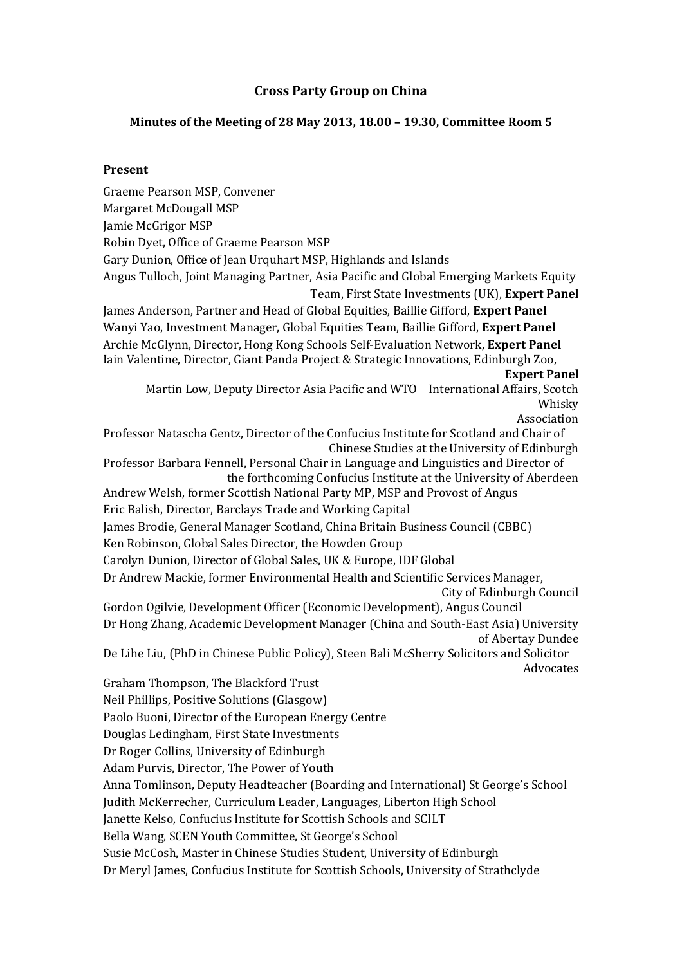## **Cross Party Group on China**

### **Minutes of the Meeting of 28 May 2013, 18.00 – 19.30, Committee Room 5**

#### **Present**

Graeme Pearson MSP, Convener Margaret McDougall MSP Jamie McGrigor MSP Robin Dyet, Office of Graeme Pearson MSP Gary Dunion, Office of Jean Urquhart MSP, Highlands and Islands Angus Tulloch, Joint Managing Partner, Asia Pacific and Global Emerging Markets Equity Team, First State Investments (UK), **Expert Panel** James Anderson, Partner and Head of Global Equities, Baillie Gifford, **Expert Panel** Wanyi Yao, Investment Manager, Global Equities Team, Baillie Gifford, **Expert Panel** Archie McGlynn, Director, Hong Kong Schools Self-Evaluation Network, **Expert Panel** Iain Valentine, Director, Giant Panda Project & Strategic Innovations, Edinburgh Zoo, **Expert Panel** Martin Low, Deputy Director Asia Pacific and WTO International Affairs, Scotch Whisky Association Professor Natascha Gentz, Director of the Confucius Institute for Scotland and Chair of Chinese Studies at the University of Edinburgh Professor Barbara Fennell, Personal Chair in Language and Linguistics and Director of the forthcoming Confucius Institute at the University of Aberdeen Andrew Welsh, former Scottish National Party MP, MSP and Provost of Angus Eric Balish, Director, Barclays Trade and Working Capital James Brodie, General Manager Scotland, China Britain Business Council (CBBC) Ken Robinson, Global Sales Director, the Howden Group Carolyn Dunion, Director of Global Sales, UK & Europe, IDF Global Dr Andrew Mackie, former Environmental Health and Scientific Services Manager, City of Edinburgh Council Gordon Ogilvie, Development Officer (Economic Development), Angus Council Dr Hong Zhang, Academic Development Manager (China and South-East Asia) University of Abertay Dundee De Lihe Liu, (PhD in Chinese Public Policy), Steen Bali McSherry Solicitors and Solicitor Advocates Graham Thompson, The Blackford Trust Neil Phillips, Positive Solutions (Glasgow) Paolo Buoni, Director of the European Energy Centre Douglas Ledingham, First State Investments Dr Roger Collins, University of Edinburgh Adam Purvis, Director, The Power of Youth Anna Tomlinson, Deputy Headteacher (Boarding and International) St George's School Judith McKerrecher, Curriculum Leader, Languages, Liberton High School Janette Kelso, Confucius Institute for Scottish Schools and SCILT Bella Wang, SCEN Youth Committee, St George's School Susie McCosh, Master in Chinese Studies Student, University of Edinburgh Dr Meryl James, Confucius Institute for Scottish Schools, University of Strathclyde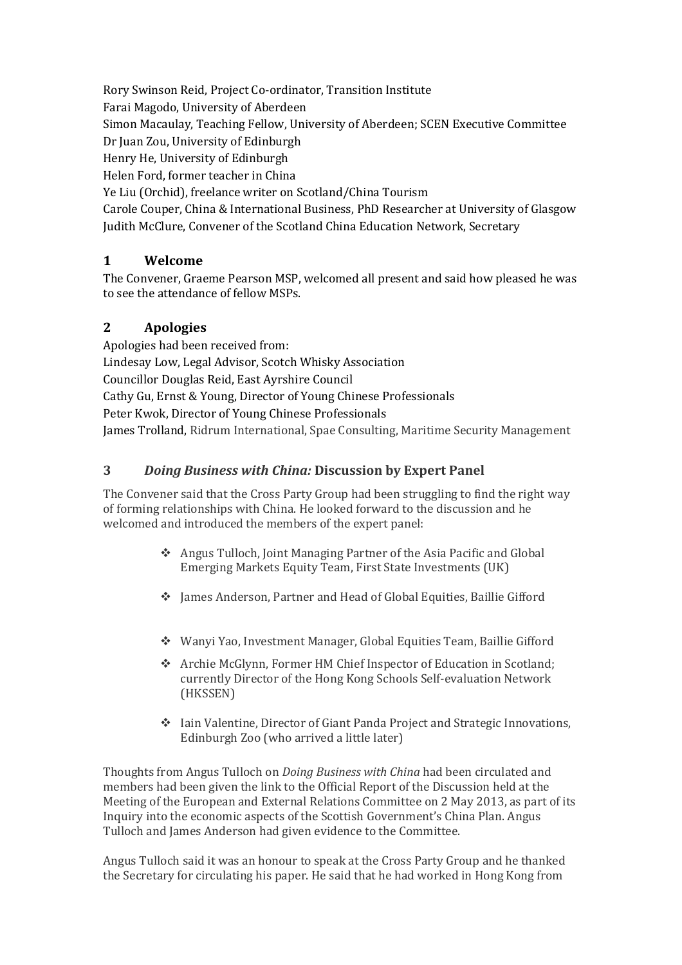Rory Swinson Reid, Project Co-ordinator, Transition Institute Farai Magodo, University of Aberdeen Simon Macaulay, Teaching Fellow, University of Aberdeen; SCEN Executive Committee Dr Juan Zou, University of Edinburgh Henry He, University of Edinburgh Helen Ford, former teacher in China Ye Liu (Orchid), freelance writer on Scotland/China Tourism Carole Couper, China & International Business, PhD Researcher at University of Glasgow Judith McClure, Convener of the Scotland China Education Network, Secretary

## **1 Welcome**

The Convener, Graeme Pearson MSP, welcomed all present and said how pleased he was to see the attendance of fellow MSPs.

# **2 Apologies**

Apologies had been received from: Lindesay Low, Legal Advisor, Scotch Whisky Association Councillor Douglas Reid, East Ayrshire Council Cathy Gu, Ernst & Young, Director of Young Chinese Professionals Peter Kwok, Director of Young Chinese Professionals James Trolland[, Ridrum International,](http://www.linkedin.com/search?search=&company=Ridrum+International&sortCriteria=R&keepFacets=true&trk=prof-0-ovw-curr_pos) [Spae Consulting,](http://www.linkedin.com/search?search=&company=Spae+Consulting&sortCriteria=R&keepFacets=true&trk=prof-0-ovw-curr_pos) [Maritime Security Management](http://www.linkedin.com/search?search=&company=Maritime+Security+Management&sortCriteria=R&keepFacets=true&trk=prof-0-ovw-curr_pos)

## **3** *Doing Business with China:* **Discussion by Expert Panel**

The Convener said that the Cross Party Group had been struggling to find the right way of forming relationships with China. He looked forward to the discussion and he welcomed and introduced the members of the expert panel:

- Angus Tulloch, Joint Managing Partner of the Asia Pacific and Global Emerging Markets Equity Team, First State Investments (UK)
- James Anderson, Partner and Head of Global Equities, Baillie Gifford
- Wanyi Yao, Investment Manager, Global Equities Team, Baillie Gifford
- Archie McGlynn, Former HM Chief Inspector of Education in Scotland; currently Director of the Hong Kong Schools Self-evaluation Network (HKSSEN)
- Iain Valentine, Director of Giant Panda Project and Strategic Innovations, Edinburgh Zoo (who arrived a little later)

Thoughts from Angus Tulloch on *Doing Business with China* had been circulated and members had been given the link to the Official Report of the Discussion held at the Meeting of the European and External Relations Committee on 2 May 2013, as part of its Inquiry into the economic aspects of the Scottish Government's China Plan. Angus Tulloch and James Anderson had given evidence to the Committee.

Angus Tulloch said it was an honour to speak at the Cross Party Group and he thanked the Secretary for circulating his paper. He said that he had worked in Hong Kong from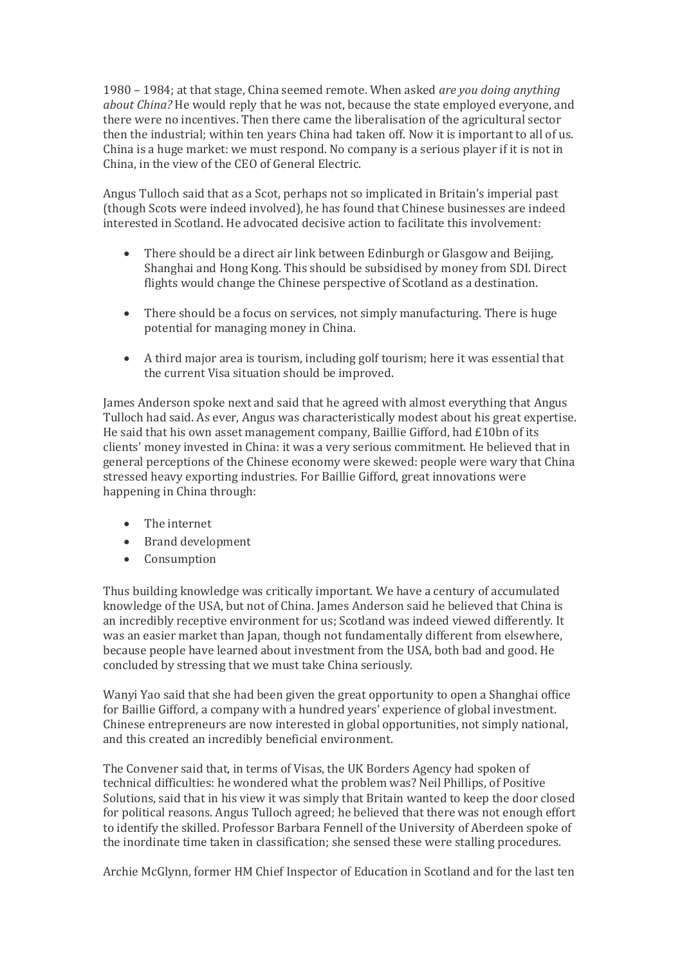1980 – 1984; at that stage, China seemed remote. When asked *are you doing anything about China?* He would reply that he was not, because the state employed everyone, and there were no incentives. Then there came the liberalisation of the agricultural sector then the industrial; within ten years China had taken off. Now it is important to all of us. China is a huge market: we must respond. No company is a serious player if it is not in China, in the view of the CEO of General Electric.

Angus Tulloch said that as a Scot, perhaps not so implicated in Britain's imperial past (though Scots were indeed involved), he has found that Chinese businesses are indeed interested in Scotland. He advocated decisive action to facilitate this involvement:

- There should be a direct air link between Edinburgh or Glasgow and Beijing, Shanghai and Hong Kong. This should be subsidised by money from SDI. Direct flights would change the Chinese perspective of Scotland as a destination.
- There should be a focus on services, not simply manufacturing. There is huge potential for managing money in China.
- A third major area is tourism, including golf tourism; here it was essential that the current Visa situation should be improved.

James Anderson spoke next and said that he agreed with almost everything that Angus Tulloch had said. As ever, Angus was characteristically modest about his great expertise. He said that his own asset management company, Baillie Gifford, had £10bn of its clients' money invested in China: it was a very serious commitment. He believed that in general perceptions of the Chinese economy were skewed: people were wary that China stressed heavy exporting industries. For Baillie Gifford, great innovations were happening in China through:

- The internet
- Brand development
- Consumption

Thus building knowledge was critically important. We have a century of accumulated knowledge of the USA, but not of China. James Anderson said he believed that China is an incredibly receptive environment for us; Scotland was indeed viewed differently. It was an easier market than Japan, though not fundamentally different from elsewhere, because people have learned about investment from the USA, both bad and good. He concluded by stressing that we must take China seriously.

Wanyi Yao said that she had been given the great opportunity to open a Shanghai office for Baillie Gifford, a company with a hundred years' experience of global investment. Chinese entrepreneurs are now interested in global opportunities, not simply national, and this created an incredibly beneficial environment.

The Convener said that, in terms of Visas, the UK Borders Agency had spoken of technical difficulties: he wondered what the problem was? Neil Phillips, of Positive Solutions, said that in his view it was simply that Britain wanted to keep the door closed for political reasons. Angus Tulloch agreed; he believed that there was not enough effort to identify the skilled. Professor Barbara Fennell of the University of Aberdeen spoke of the inordinate time taken in classification; she sensed these were stalling procedures.

Archie McGlynn, former HM Chief Inspector of Education in Scotland and for the last ten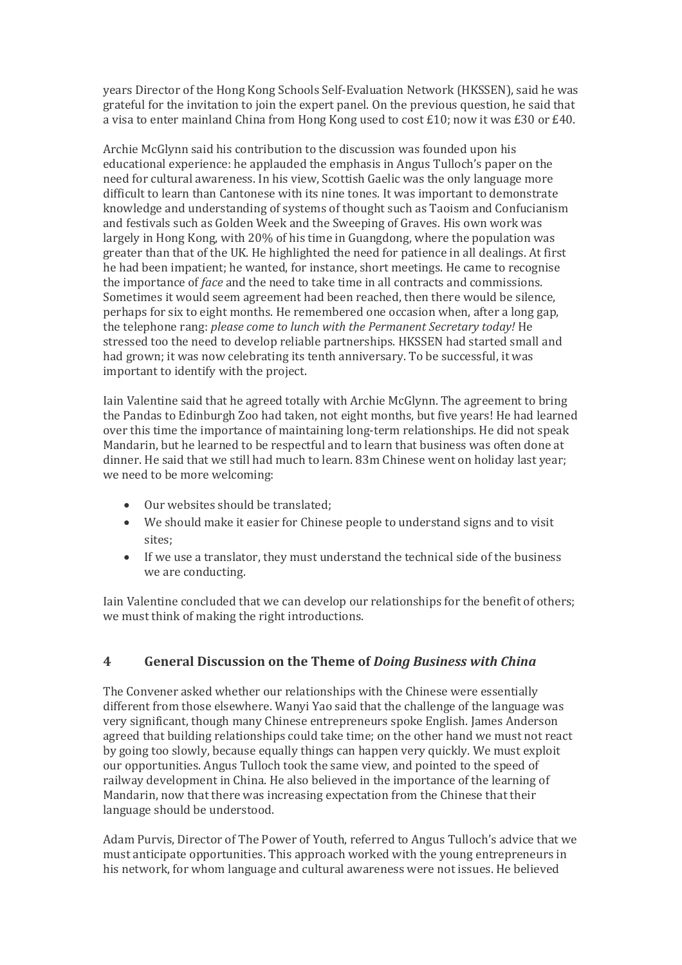years Director of the Hong Kong Schools Self-Evaluation Network (HKSSEN), said he was grateful for the invitation to join the expert panel. On the previous question, he said that a visa to enter mainland China from Hong Kong used to cost  $E10$ ; now it was  $E30$  or  $E40$ .

Archie McGlynn said his contribution to the discussion was founded upon his educational experience: he applauded the emphasis in Angus Tulloch's paper on the need for cultural awareness. In his view, Scottish Gaelic was the only language more difficult to learn than Cantonese with its nine tones. It was important to demonstrate knowledge and understanding of systems of thought such as Taoism and Confucianism and festivals such as Golden Week and the Sweeping of Graves. His own work was largely in Hong Kong, with 20% of his time in Guangdong, where the population was greater than that of the UK. He highlighted the need for patience in all dealings. At first he had been impatient; he wanted, for instance, short meetings. He came to recognise the importance of *face* and the need to take time in all contracts and commissions. Sometimes it would seem agreement had been reached, then there would be silence, perhaps for six to eight months. He remembered one occasion when, after a long gap, the telephone rang: *please come to lunch with the Permanent Secretary today!* He stressed too the need to develop reliable partnerships. HKSSEN had started small and had grown; it was now celebrating its tenth anniversary. To be successful, it was important to identify with the project.

Iain Valentine said that he agreed totally with Archie McGlynn. The agreement to bring the Pandas to Edinburgh Zoo had taken, not eight months, but five years! He had learned over this time the importance of maintaining long-term relationships. He did not speak Mandarin, but he learned to be respectful and to learn that business was often done at dinner. He said that we still had much to learn. 83m Chinese went on holiday last year; we need to be more welcoming:

- Our websites should be translated;
- We should make it easier for Chinese people to understand signs and to visit sites;
- If we use a translator, they must understand the technical side of the business we are conducting.

Iain Valentine concluded that we can develop our relationships for the benefit of others; we must think of making the right introductions.

## **4 General Discussion on the Theme of** *Doing Business with China*

The Convener asked whether our relationships with the Chinese were essentially different from those elsewhere. Wanyi Yao said that the challenge of the language was very significant, though many Chinese entrepreneurs spoke English. James Anderson agreed that building relationships could take time; on the other hand we must not react by going too slowly, because equally things can happen very quickly. We must exploit our opportunities. Angus Tulloch took the same view, and pointed to the speed of railway development in China. He also believed in the importance of the learning of Mandarin, now that there was increasing expectation from the Chinese that their language should be understood.

Adam Purvis, Director of The Power of Youth, referred to Angus Tulloch's advice that we must anticipate opportunities. This approach worked with the young entrepreneurs in his network, for whom language and cultural awareness were not issues. He believed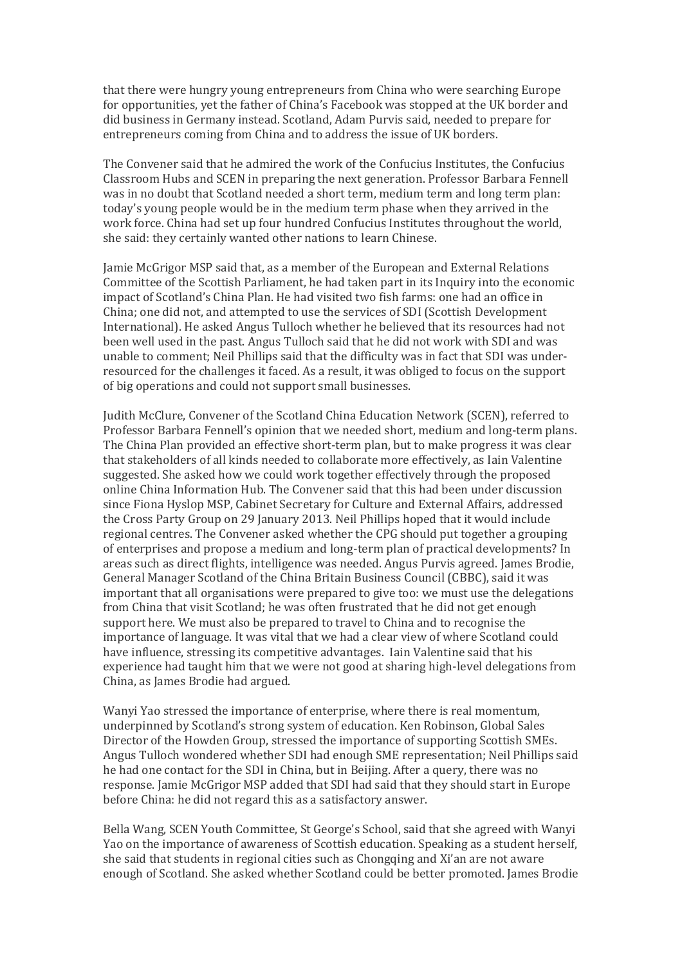that there were hungry young entrepreneurs from China who were searching Europe for opportunities, yet the father of China's Facebook was stopped at the UK border and did business in Germany instead. Scotland, Adam Purvis said, needed to prepare for entrepreneurs coming from China and to address the issue of UK borders.

The Convener said that he admired the work of the Confucius Institutes, the Confucius Classroom Hubs and SCEN in preparing the next generation. Professor Barbara Fennell was in no doubt that Scotland needed a short term, medium term and long term plan: today's young people would be in the medium term phase when they arrived in the work force. China had set up four hundred Confucius Institutes throughout the world, she said: they certainly wanted other nations to learn Chinese.

Jamie McGrigor MSP said that, as a member of the European and External Relations Committee of the Scottish Parliament, he had taken part in its Inquiry into the economic impact of Scotland's China Plan. He had visited two fish farms: one had an office in China; one did not, and attempted to use the services of SDI (Scottish Development International). He asked Angus Tulloch whether he believed that its resources had not been well used in the past. Angus Tulloch said that he did not work with SDI and was unable to comment; Neil Phillips said that the difficulty was in fact that SDI was underresourced for the challenges it faced. As a result, it was obliged to focus on the support of big operations and could not support small businesses.

Judith McClure, Convener of the Scotland China Education Network (SCEN), referred to Professor Barbara Fennell's opinion that we needed short, medium and long-term plans. The China Plan provided an effective short-term plan, but to make progress it was clear that stakeholders of all kinds needed to collaborate more effectively, as Iain Valentine suggested. She asked how we could work together effectively through the proposed online China Information Hub. The Convener said that this had been under discussion since Fiona Hyslop MSP, Cabinet Secretary for Culture and External Affairs, addressed the Cross Party Group on 29 January 2013. Neil Phillips hoped that it would include regional centres. The Convener asked whether the CPG should put together a grouping of enterprises and propose a medium and long-term plan of practical developments? In areas such as direct flights, intelligence was needed. Angus Purvis agreed. James Brodie, General Manager Scotland of the China Britain Business Council (CBBC), said it was important that all organisations were prepared to give too: we must use the delegations from China that visit Scotland; he was often frustrated that he did not get enough support here. We must also be prepared to travel to China and to recognise the importance of language. It was vital that we had a clear view of where Scotland could have influence, stressing its competitive advantages. Iain Valentine said that his experience had taught him that we were not good at sharing high-level delegations from China, as James Brodie had argued.

Wanyi Yao stressed the importance of enterprise, where there is real momentum, underpinned by Scotland's strong system of education. Ken Robinson, Global Sales Director of the Howden Group, stressed the importance of supporting Scottish SMEs. Angus Tulloch wondered whether SDI had enough SME representation; Neil Phillips said he had one contact for the SDI in China, but in Beijing. After a query, there was no response. Jamie McGrigor MSP added that SDI had said that they should start in Europe before China: he did not regard this as a satisfactory answer.

Bella Wang, SCEN Youth Committee, St George's School, said that she agreed with Wanyi Yao on the importance of awareness of Scottish education. Speaking as a student herself, she said that students in regional cities such as Chongqing and Xi'an are not aware enough of Scotland. She asked whether Scotland could be better promoted. James Brodie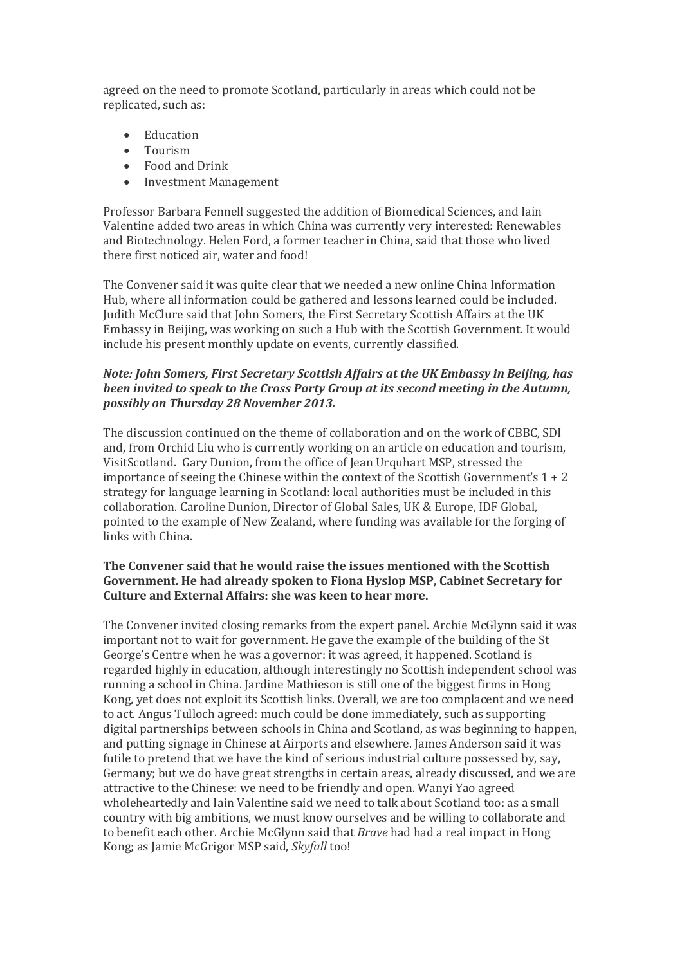agreed on the need to promote Scotland, particularly in areas which could not be replicated, such as:

- **Education**
- Tourism
- Food and Drink
- Investment Management

Professor Barbara Fennell suggested the addition of Biomedical Sciences, and Iain Valentine added two areas in which China was currently very interested: Renewables and Biotechnology. Helen Ford, a former teacher in China, said that those who lived there first noticed air, water and food!

The Convener said it was quite clear that we needed a new online China Information Hub, where all information could be gathered and lessons learned could be included. Judith McClure said that John Somers, the First Secretary Scottish Affairs at the UK Embassy in Beijing, was working on such a Hub with the Scottish Government. It would include his present monthly update on events, currently classified.

#### *Note: John Somers, First Secretary Scottish Affairs at the UK Embassy in Beijing, has been invited to speak to the Cross Party Group at its second meeting in the Autumn, possibly on Thursday 28 November 2013.*

The discussion continued on the theme of collaboration and on the work of CBBC, SDI and, from Orchid Liu who is currently working on an article on education and tourism, VisitScotland. Gary Dunion, from the office of Jean Urquhart MSP, stressed the importance of seeing the Chinese within the context of the Scottish Government's 1 + 2 strategy for language learning in Scotland: local authorities must be included in this collaboration. Caroline Dunion, Director of Global Sales, UK & Europe, IDF Global, pointed to the example of New Zealand, where funding was available for the forging of links with China.

#### **The Convener said that he would raise the issues mentioned with the Scottish Government. He had already spoken to Fiona Hyslop MSP, Cabinet Secretary for Culture and External Affairs: she was keen to hear more.**

The Convener invited closing remarks from the expert panel. Archie McGlynn said it was important not to wait for government. He gave the example of the building of the St George's Centre when he was a governor: it was agreed, it happened. Scotland is regarded highly in education, although interestingly no Scottish independent school was running a school in China. Jardine Mathieson is still one of the biggest firms in Hong Kong, yet does not exploit its Scottish links. Overall, we are too complacent and we need to act. Angus Tulloch agreed: much could be done immediately, such as supporting digital partnerships between schools in China and Scotland, as was beginning to happen, and putting signage in Chinese at Airports and elsewhere. James Anderson said it was futile to pretend that we have the kind of serious industrial culture possessed by, say, Germany; but we do have great strengths in certain areas, already discussed, and we are attractive to the Chinese: we need to be friendly and open. Wanyi Yao agreed wholeheartedly and Iain Valentine said we need to talk about Scotland too: as a small country with big ambitions, we must know ourselves and be willing to collaborate and to benefit each other. Archie McGlynn said that *Brave* had had a real impact in Hong Kong; as Jamie McGrigor MSP said, *Skyfall* too!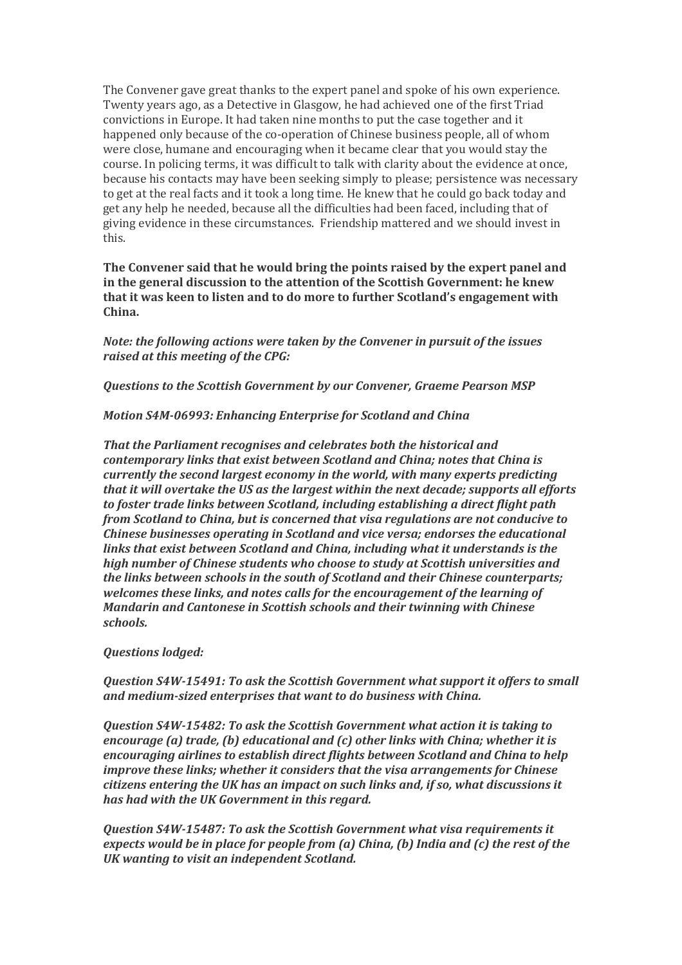The Convener gave great thanks to the expert panel and spoke of his own experience. Twenty years ago, as a Detective in Glasgow, he had achieved one of the first Triad convictions in Europe. It had taken nine months to put the case together and it happened only because of the co-operation of Chinese business people, all of whom were close, humane and encouraging when it became clear that you would stay the course. In policing terms, it was difficult to talk with clarity about the evidence at once, because his contacts may have been seeking simply to please; persistence was necessary to get at the real facts and it took a long time. He knew that he could go back today and get any help he needed, because all the difficulties had been faced, including that of giving evidence in these circumstances. Friendship mattered and we should invest in this.

**The Convener said that he would bring the points raised by the expert panel and in the general discussion to the attention of the Scottish Government: he knew that it was keen to listen and to do more to further Scotland's engagement with China.**

*Note: the following actions were taken by the Convener in pursuit of the issues raised at this meeting of the CPG:*

*Questions to the Scottish Government by our Convener, Graeme Pearson MSP*

*Motion S4M-06993: Enhancing Enterprise for Scotland and China*

*That the Parliament recognises and celebrates both the historical and contemporary links that exist between Scotland and China; notes that China is currently the second largest economy in the world, with many experts predicting that it will overtake the US as the largest within the next decade; supports all efforts to foster trade links between Scotland, including establishing a direct flight path from Scotland to China, but is concerned that visa regulations are not conducive to Chinese businesses operating in Scotland and vice versa; endorses the educational links that exist between Scotland and China, including what it understands is the high number of Chinese students who choose to study at Scottish universities and the links between schools in the south of Scotland and their Chinese counterparts; welcomes these links, and notes calls for the encouragement of the learning of Mandarin and Cantonese in Scottish schools and their twinning with Chinese schools.*

#### *Questions lodged:*

*Question S4W-15491: To ask the Scottish Government what support it offers to small and medium-sized enterprises that want to do business with China.*

*Question S4W-15482: To ask the Scottish Government what action it is taking to encourage (a) trade, (b) educational and (c) other links with China; whether it is encouraging airlines to establish direct flights between Scotland and China to help improve these links; whether it considers that the visa arrangements for Chinese citizens entering the UK has an impact on such links and, if so, what discussions it has had with the UK Government in this regard.*

*Question S4W-15487: To ask the Scottish Government what visa requirements it expects would be in place for people from (a) China, (b) India and (c) the rest of the UK wanting to visit an independent Scotland.*